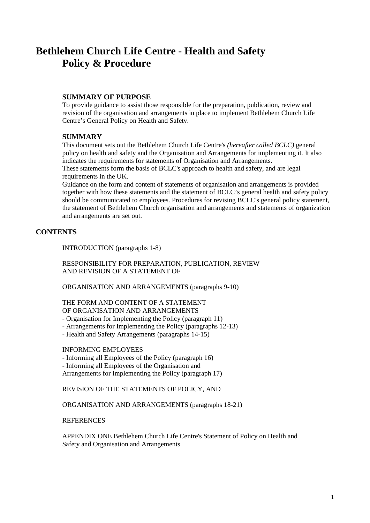# **Bethlehem Church Life Centre - Health and Safety Policy & Procedure**

# **SUMMARY OF PURPOSE**

To provide guidance to assist those responsible for the preparation, publication, review and revision of the organisation and arrangements in place to implement Bethlehem Church Life Centre's General Policy on Health and Safety.

# **SUMMARY**

This document sets out the Bethlehem Church Life Centre's *(hereafter called BCLC)* general policy on health and safety and the Organisation and Arrangements for implementing it. It also indicates the requirements for statements of Organisation and Arrangements.

These statements form the basis of BCLC's approach to health and safety, and are legal requirements in the UK.

Guidance on the form and content of statements of organisation and arrangements is provided together with how these statements and the statement of BCLC's general health and safety policy should be communicated to employees. Procedures for revising BCLC's general policy statement, the statement of Bethlehem Church organisation and arrangements and statements of organization and arrangements are set out.

# **CONTENTS**

INTRODUCTION (paragraphs 1-8)

RESPONSIBILITY FOR PREPARATION, PUBLICATION, REVIEW AND REVISION OF A STATEMENT OF

ORGANISATION AND ARRANGEMENTS (paragraphs 9-10)

# THE FORM AND CONTENT OF A STATEMENT OF ORGANISATION AND ARRANGEMENTS

- Organisation for Implementing the Policy (paragraph 11)

- Arrangements for Implementing the Policy (paragraphs 12-13)
- Health and Safety Arrangements (paragraphs 14-15)

# INFORMING EMPLOYEES

- Informing all Employees of the Policy (paragraph 16)

- Informing all Employees of the Organisation and

Arrangements for Implementing the Policy (paragraph 17)

REVISION OF THE STATEMENTS OF POLICY, AND

ORGANISATION AND ARRANGEMENTS (paragraphs 18-21)

**REFERENCES** 

APPENDIX ONE Bethlehem Church Life Centre's Statement of Policy on Health and Safety and Organisation and Arrangements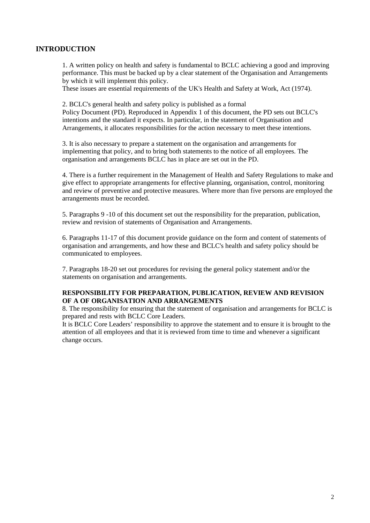# **INTRODUCTION**

1. A written policy on health and safety is fundamental to BCLC achieving a good and improving performance. This must be backed up by a clear statement of the Organisation and Arrangements by which it will implement this policy.

These issues are essential requirements of the UK's Health and Safety at Work, Act (1974).

2. BCLC's general health and safety policy is published as a formal Policy Document (PD). Reproduced in Appendix 1 of this document, the PD sets out BCLC's intentions and the standard it expects. In particular, in the statement of Organisation and Arrangements, it allocates responsibilities for the action necessary to meet these intentions.

3. It is also necessary to prepare a statement on the organisation and arrangements for implementing that policy, and to bring both statements to the notice of all employees. The organisation and arrangements BCLC has in place are set out in the PD.

4. There is a further requirement in the Management of Health and Safety Regulations to make and give effect to appropriate arrangements for effective planning, organisation, control, monitoring and review of preventive and protective measures. Where more than five persons are employed the arrangements must be recorded.

5. Paragraphs 9 -10 of this document set out the responsibility for the preparation, publication, review and revision of statements of Organisation and Arrangements.

6. Paragraphs 11-17 of this document provide guidance on the form and content of statements of organisation and arrangements, and how these and BCLC's health and safety policy should be communicated to employees.

7. Paragraphs 18-20 set out procedures for revising the general policy statement and/or the statements on organisation and arrangements.

# **RESPONSIBILITY FOR PREPARATION, PUBLICATION, REVIEW AND REVISION OF A OF ORGANISATION AND ARRANGEMENTS**

8. The responsibility for ensuring that the statement of organisation and arrangements for BCLC is prepared and rests with BCLC Core Leaders.

It is BCLC Core Leaders' responsibility to approve the statement and to ensure it is brought to the attention of all employees and that it is reviewed from time to time and whenever a significant change occurs.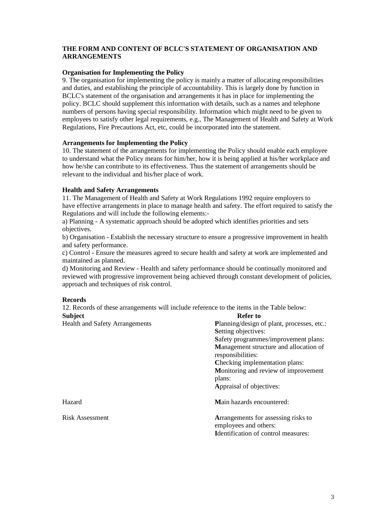# **THE FORM AND CONTENT OF BCLC'S STATEMENT OF ORGANISATION AND ARRANGEMENTS**

# **Organisation for Implementing the Policy**

9. The organisation for implementing the policy is mainly a matter of allocating responsibilities and duties, and establishing the principle of accountability. This is largely done by function in BCLC's statement of the organisation and arrangements it has in place for implementing the policy. BCLC should supplement this information with details, such as a names and telephone numbers of persons having special responsibility. Information which might need to be given to employees to satisfy other legal requirements, e.g., The Management of Health and Safety at Work Regulations, Fire Precautions Act, etc, could be incorporated into the statement.

# **Arrangements for Implementing the Policy**

10. The statement of the arrangements for implementing the Policy should enable each employee to understand what the Policy means for him/her, how it is being applied at his/her workplace and how he/she can contribute to its effectiveness. Thus the statement of arrangements should be relevant to the individual and his/her place of work.

# **Health and Safety Arrangements**

11. The Management of Health and Safety at Work Regulations 1992 require employers to have effective arrangements in place to manage health and safety. The effort required to satisfy the Regulations and will include the following elements:-

a) Planning - A systematic approach should be adopted which identifies priorities and sets objectives.

b) Organisation - Establish the necessary structure to ensure a progressive improvement in health and safety performance.

c) Control - Ensure the measures agreed to secure health and safety at work are implemented and maintained as planned.

d) Monitoring and Review - Health and safety performance should be continually monitored and reviewed with progressive improvement being achieved through constant development of policies, approach and techniques of risk control.

# **Records**

12. Records of these arrangements will include reference to the items in the Table below: **Subject** Refer to

| <b>Health and Safety Arrangements</b> | Planning/design of plant, processes, etc.:<br><b>Setting objectives:</b><br>Safety programmes/improvement plans:<br>Management structure and allocation of<br>responsibilities:<br>Checking implementation plans:<br>Monitoring and review of improvement<br>plans:<br>Appraisal of objectives: |
|---------------------------------------|-------------------------------------------------------------------------------------------------------------------------------------------------------------------------------------------------------------------------------------------------------------------------------------------------|
| Hazard                                | Main hazards encountered:                                                                                                                                                                                                                                                                       |
| <b>Risk Assessment</b>                | Arrangements for assessing risks to<br>employees and others:<br><b>Identification of control measures:</b>                                                                                                                                                                                      |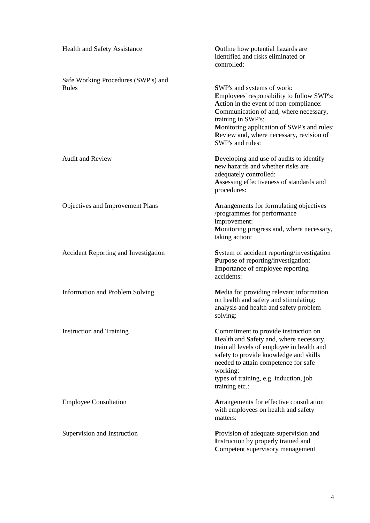| Health and Safety Assistance                 | <b>Outline</b> how potential hazards are<br>identified and risks eliminated or<br>controlled:                                                                                                                                                                                                    |
|----------------------------------------------|--------------------------------------------------------------------------------------------------------------------------------------------------------------------------------------------------------------------------------------------------------------------------------------------------|
| Safe Working Procedures (SWP's) and<br>Rules | SWP's and systems of work:<br>Employees' responsibility to follow SWP's:<br>Action in the event of non-compliance:<br>Communication of and, where necessary,<br>training in SWP's:<br>Monitoring application of SWP's and rules:<br>Review and, where necessary, revision of<br>SWP's and rules: |
| <b>Audit and Review</b>                      | Developing and use of audits to identify<br>new hazards and whether risks are<br>adequately controlled:<br>Assessing effectiveness of standards and<br>procedures:                                                                                                                               |
| Objectives and Improvement Plans             | Arrangements for formulating objectives<br>/programmes for performance<br>improvement:<br>Monitoring progress and, where necessary,<br>taking action:                                                                                                                                            |
| Accident Reporting and Investigation         | System of accident reporting/investigation<br>Purpose of reporting/investigation:<br>Importance of employee reporting<br>accidents:                                                                                                                                                              |
| <b>Information and Problem Solving</b>       | Media for providing relevant information<br>on health and safety and stimulating:<br>analysis and health and safety problem<br>solving:                                                                                                                                                          |
| <b>Instruction and Training</b>              | Commitment to provide instruction on<br>Health and Safety and, where necessary,<br>train all levels of employee in health and<br>safety to provide knowledge and skills<br>needed to attain competence for safe<br>working:<br>types of training, e.g. induction, job<br>training etc.:          |
| <b>Employee Consultation</b>                 | Arrangements for effective consultation<br>with employees on health and safety<br>matters:                                                                                                                                                                                                       |
| Supervision and Instruction                  | Provision of adequate supervision and<br>Instruction by properly trained and<br>Competent supervisory management                                                                                                                                                                                 |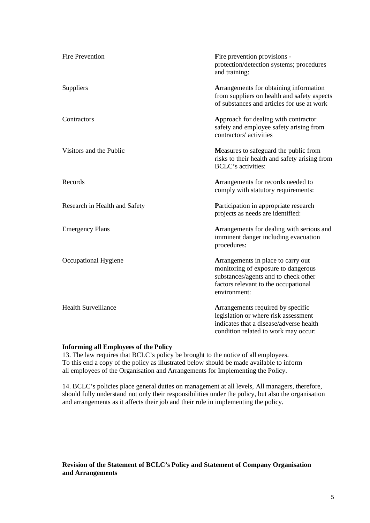| <b>Fire Prevention</b>        | Fire prevention provisions -<br>protection/detection systems; procedures<br>and training:                                                                                 |
|-------------------------------|---------------------------------------------------------------------------------------------------------------------------------------------------------------------------|
| Suppliers                     | Arrangements for obtaining information<br>from suppliers on health and safety aspects<br>of substances and articles for use at work                                       |
| Contractors                   | Approach for dealing with contractor<br>safety and employee safety arising from<br>contractors' activities                                                                |
| Visitors and the Public       | Measures to safeguard the public from<br>risks to their health and safety arising from<br><b>BCLC's activities:</b>                                                       |
| Records                       | Arrangements for records needed to<br>comply with statutory requirements:                                                                                                 |
| Research in Health and Safety | Participation in appropriate research<br>projects as needs are identified:                                                                                                |
| <b>Emergency Plans</b>        | Arrangements for dealing with serious and<br>imminent danger including evacuation<br>procedures:                                                                          |
| Occupational Hygiene          | Arrangements in place to carry out<br>monitoring of exposure to dangerous<br>substances/agents and to check other<br>factors relevant to the occupational<br>environment: |
| <b>Health Surveillance</b>    | Arrangements required by specific<br>legislation or where risk assessment<br>indicates that a disease/adverse health<br>condition related to work may occur:              |

# **Informing all Employees of the Policy**

13. The law requires that BCLC's policy be brought to the notice of all employees. To this end a copy of the policy as illustrated below should be made available to inform all employees of the Organisation and Arrangements for Implementing the Policy.

14. BCLC's policies place general duties on management at all levels, All managers, therefore, should fully understand not only their responsibilities under the policy, but also the organisation and arrangements as it affects their job and their role in implementing the policy.

# **Revision of the Statement of BCLC's Policy and Statement of Company Organisation and Arrangements**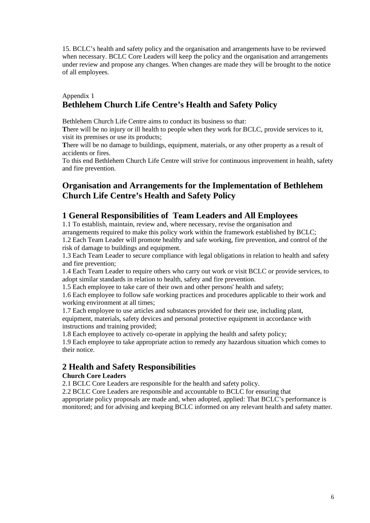15. BCLC's health and safety policy and the organisation and arrangements have to be reviewed when necessary. BCLC Core Leaders will keep the policy and the organisation and arrangements under review and propose any changes. When changes are made they will be brought to the notice of all employees.

# Appendix 1 **Bethlehem Church Life Centre's Health and Safety Policy**

Bethlehem Church Life Centre aims to conduct its business so that:

**T**here will be no injury or ill health to people when they work for BCLC, provide services to it, visit its premises or use its products;

There will be no damage to buildings, equipment, materials, or any other property as a result of accidents or fires.

To this end Bethlehem Church Life Centre will strive for continuous improvement in health, safety and fire prevention.

# **Organisation and Arrangements for the Implementation of Bethlehem Church Life Centre's Health and Safety Policy**

# **1 General Responsibilities of Team Leaders and All Employees**

1.1 To establish, maintain, review and, where necessary, revise the organisation and arrangements required to make this policy work within the framework established by BCLC; 1.2 Each Team Leader will promote healthy and safe working, fire prevention, and control of the

risk of damage to buildings and equipment.

1.3 Each Team Leader to secure compliance with legal obligations in relation to health and safety and fire prevention;

1.4 Each Team Leader to require others who carry out work or visit BCLC or provide services, to adopt similar standards in relation to health, safety and fire prevention.

1.5 Each employee to take care of their own and other persons' health and safety;

1.6 Each employee to follow safe working practices and procedures applicable to their work and working environment at all times;

1.7 Each employee to use articles and substances provided for their use, including plant, equipment, materials, safety devices and personal protective equipment in accordance with instructions and training provided;

1.8 Each employee to actively co-operate in applying the health and safety policy;

1.9 Each employee to take appropriate action to remedy any hazardous situation which comes to their notice.

# **2 Health and Safety Responsibilities**

# **Church Core Leaders**

2.1 BCLC Core Leaders are responsible for the health and safety policy.

2.2 BCLC Core Leaders are responsible and accountable to BCLC for ensuring that appropriate policy proposals are made and, when adopted, applied: That BCLC's performance is monitored; and for advising and keeping BCLC informed on any relevant health and safety matter.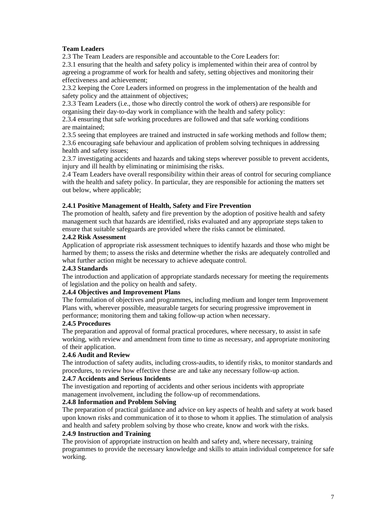# **Team Leaders**

2.3 The Team Leaders are responsible and accountable to the Core Leaders for:

2.3.1 ensuring that the health and safety policy is implemented within their area of control by agreeing a programme of work for health and safety, setting objectives and monitoring their effectiveness and achievement;

2.3.2 keeping the Core Leaders informed on progress in the implementation of the health and safety policy and the attainment of objectives;

2.3.3 Team Leaders (i.e., those who directly control the work of others) are responsible for organising their day-to-day work in compliance with the health and safety policy:

2.3.4 ensuring that safe working procedures are followed and that safe working conditions are maintained;

2.3.5 seeing that employees are trained and instructed in safe working methods and follow them; 2.3.6 encouraging safe behaviour and application of problem solving techniques in addressing health and safety issues;

2.3.7 investigating accidents and hazards and taking steps wherever possible to prevent accidents, injury and ill health by eliminating or minimising the risks.

2.4 Team Leaders have overall responsibility within their areas of control for securing compliance with the health and safety policy. In particular, they are responsible for actioning the matters set out below, where applicable;

# **2.4.1 Positive Management of Health, Safety and Fire Prevention**

The promotion of health, safety and fire prevention by the adoption of positive health and safety management such that hazards are identified, risks evaluated and any appropriate steps taken to ensure that suitable safeguards are provided where the risks cannot be eliminated.

# **2.4.2 Risk Assessment**

Application of appropriate risk assessment techniques to identify hazards and those who might be harmed by them; to assess the risks and determine whether the risks are adequately controlled and what further action might be necessary to achieve adequate control.

# **2.4.3 Standards**

The introduction and application of appropriate standards necessary for meeting the requirements of legislation and the policy on health and safety.

# **2.4.4 Objectives and Improvement Plans**

The formulation of objectives and programmes, including medium and longer term Improvement Plans with, wherever possible, measurable targets for securing progressive improvement in performance; monitoring them and taking follow-up action when necessary.

# **2.4.5 Procedures**

The preparation and approval of formal practical procedures, where necessary, to assist in safe working, with review and amendment from time to time as necessary, and appropriate monitoring of their application.

# **2.4.6 Audit and Review**

The introduction of safety audits, including cross-audits, to identify risks, to monitor standards and procedures, to review how effective these are and take any necessary follow-up action.

# **2.4.7 Accidents and Serious Incidents**

The investigation and reporting of accidents and other serious incidents with appropriate management involvement, including the follow-up of recommendations.

# **2.4.8 Information and Problem Solving**

The preparation of practical guidance and advice on key aspects of health and safety at work based upon known risks and communication of it to those to whom it applies. The stimulation of analysis and health and safety problem solving by those who create, know and work with the risks.

# **2.4.9 Instruction and Training**

The provision of appropriate instruction on health and safety and, where necessary, training programmes to provide the necessary knowledge and skills to attain individual competence for safe working.